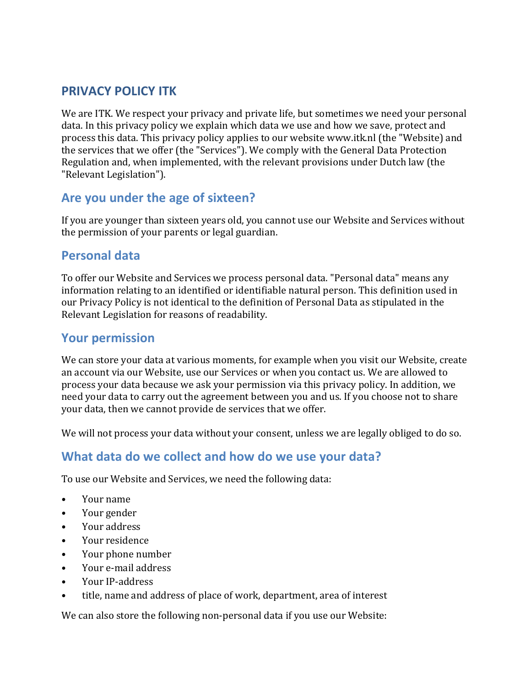## **PRIVACY POLICY ITK**

We are ITK. We respect your privacy and private life, but sometimes we need your personal data. In this privacy policy we explain which data we use and how we save, protect and process this data. This privacy policy applies to our website www.itk.nl (the "Website) and the services that we offer (the "Services"). We comply with the General Data Protection Regulation and, when implemented, with the relevant provisions under Dutch law (the "Relevant Legislation").

### **Are you under the age of sixteen?**

If you are younger than sixteen years old, you cannot use our Website and Services without the permission of your parents or legal guardian.

### **Personal data**

To offer our Website and Services we process personal data. "Personal data" means any information relating to an identified or identifiable natural person. This definition used in our Privacy Policy is not identical to the definition of Personal Data as stipulated in the Relevant Legislation for reasons of readability.

### **Your permission**

We can store your data at various moments, for example when you visit our Website, create an account via our Website, use our Services or when you contact us. We are allowed to process your data because we ask your permission via this privacy policy. In addition, we need your data to carry out the agreement between you and us. If you choose not to share your data, then we cannot provide de services that we offer.

We will not process your data without your consent, unless we are legally obliged to do so.

### **What data do we collect and how do we use your data?**

To use our Website and Services, we need the following data:

- Your name
- Your gender
- Your address
- Your residence
- Your phone number
- Your e-mail address
- Your IP-address
- title, name and address of place of work, department, area of interest

We can also store the following non-personal data if you use our Website: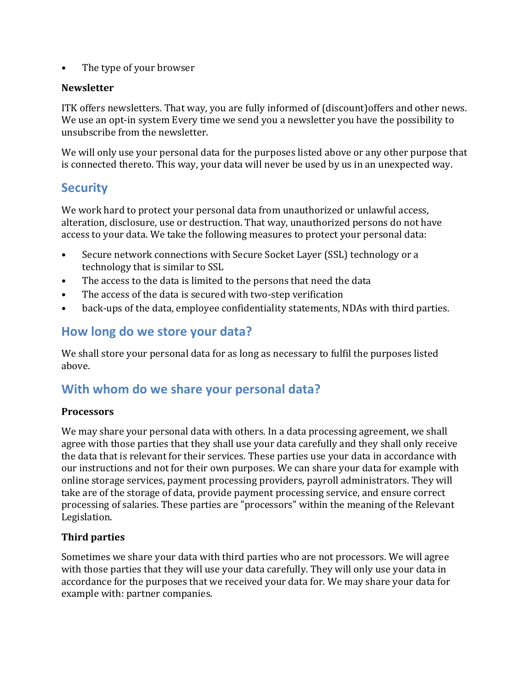• The type of your browser

#### **Newsletter**

ITK offers newsletters. That way, you are fully informed of (discount)offers and other news. We use an opt-in system Every time we send you a newsletter you have the possibility to unsubscribe from the newsletter.

We will only use your personal data for the purposes listed above or any other purpose that is connected thereto. This way, your data will never be used by us in an unexpected way.

### **Security**

We work hard to protect your personal data from unauthorized or unlawful access, alteration, disclosure, use or destruction. That way, unauthorized persons do not have access to your data. We take the following measures to protect your personal data:

- Secure network connections with Secure Socket Layer (SSL) technology or a technology that is similar to SSL
- The access to the data is limited to the persons that need the data
- The access of the data is secured with two-step verification
- back-ups of the data, employee confidentiality statements, NDAs with third parties.

### **How long do we store your data?**

We shall store your personal data for as long as necessary to fulfil the purposes listed above.

## **With whom do we share your personal data?**

#### **Processors**

We may share your personal data with others. In a data processing agreement, we shall agree with those parties that they shall use your data carefully and they shall only receive the data that is relevant for their services. These parties use your data in accordance with our instructions and not for their own purposes. We can share your data for example with online storage services, payment processing providers, payroll administrators. They will take are of the storage of data, provide payment processing service, and ensure correct processing of salaries. These parties are "processors" within the meaning of the Relevant Legislation.

#### **Third parties**

Sometimes we share your data with third parties who are not processors. We will agree with those parties that they will use your data carefully. They will only use your data in accordance for the purposes that we received your data for. We may share your data for example with: partner companies.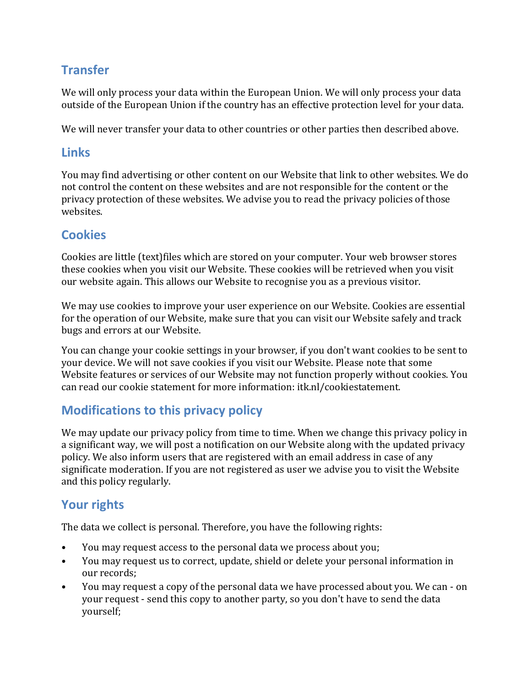# **Transfer**

We will only process your data within the European Union. We will only process your data outside of the European Union if the country has an effective protection level for your data.

We will never transfer your data to other countries or other parties then described above.

### **Links**

You may find advertising or other content on our Website that link to other websites. We do not control the content on these websites and are not responsible for the content or the privacy protection of these websites. We advise you to read the privacy policies of those websites.

### **Cookies**

Cookies are little (text)files which are stored on your computer. Your web browser stores these cookies when you visit our Website. These cookies will be retrieved when you visit our website again. This allows our Website to recognise you as a previous visitor.

We may use cookies to improve your user experience on our Website. Cookies are essential for the operation of our Website, make sure that you can visit our Website safely and track bugs and errors at our Website.

You can change your cookie settings in your browser, if you don't want cookies to be sent to your device. We will not save cookies if you visit our Website. Please note that some Website features or services of our Website may not function properly without cookies. You can read our cookie statement for more information: itk.nl/cookiestatement.

## **Modifications to this privacy policy**

We may update our privacy policy from time to time. When we change this privacy policy in a significant way, we will post a notification on our Website along with the updated privacy policy. We also inform users that are registered with an email address in case of any significate moderation. If you are not registered as user we advise you to visit the Website and this policy regularly.

# **Your rights**

The data we collect is personal. Therefore, you have the following rights:

- You may request access to the personal data we process about you;
- You may request us to correct, update, shield or delete your personal information in our records;
- You may request a copy of the personal data we have processed about you. We can on your request - send this copy to another party, so you don't have to send the data yourself;